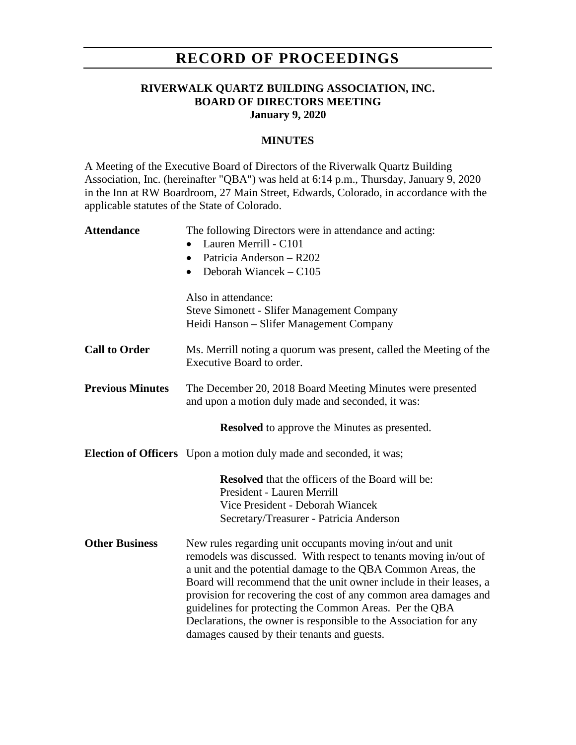# **RECORD OF PROCEEDINGS**

### **RIVERWALK QUARTZ BUILDING ASSOCIATION, INC. BOARD OF DIRECTORS MEETING January 9, 2020**

#### **MINUTES**

A Meeting of the Executive Board of Directors of the Riverwalk Quartz Building Association, Inc. (hereinafter "QBA") was held at 6:14 p.m., Thursday, January 9, 2020 in the Inn at RW Boardroom, 27 Main Street, Edwards, Colorado, in accordance with the applicable statutes of the State of Colorado.

| <b>Attendance</b>       | The following Directors were in attendance and acting:                                          |
|-------------------------|-------------------------------------------------------------------------------------------------|
|                         | Lauren Merrill - C101                                                                           |
|                         | Patricia Anderson - R202<br>$\bullet$                                                           |
|                         | Deborah Wiancek – C105                                                                          |
|                         | Also in attendance:                                                                             |
|                         | <b>Steve Simonett - Slifer Management Company</b>                                               |
|                         | Heidi Hanson – Slifer Management Company                                                        |
| <b>Call to Order</b>    | Ms. Merrill noting a quorum was present, called the Meeting of the<br>Executive Board to order. |
| <b>Previous Minutes</b> | The December 20, 2018 Board Meeting Minutes were presented                                      |
|                         | and upon a motion duly made and seconded, it was:                                               |
|                         | <b>Resolved</b> to approve the Minutes as presented.                                            |
|                         | <b>Election of Officers</b> Upon a motion duly made and seconded, it was;                       |
|                         | <b>Resolved</b> that the officers of the Board will be:                                         |
|                         | President - Lauren Merrill                                                                      |
|                         | Vice President - Deborah Wiancek                                                                |
|                         | Secretary/Treasurer - Patricia Anderson                                                         |
| <b>Other Business</b>   | New rules regarding unit occupants moving in/out and unit                                       |
|                         | remodels was discussed. With respect to tenants moving in/out of                                |
|                         | a unit and the potential damage to the QBA Common Areas, the                                    |
|                         | Board will recommend that the unit owner include in their leases, a                             |
|                         | provision for recovering the cost of any common area damages and                                |
|                         | guidelines for protecting the Common Areas. Per the QBA                                         |
|                         | Declarations, the owner is responsible to the Association for any                               |
|                         | damages caused by their tenants and guests.                                                     |